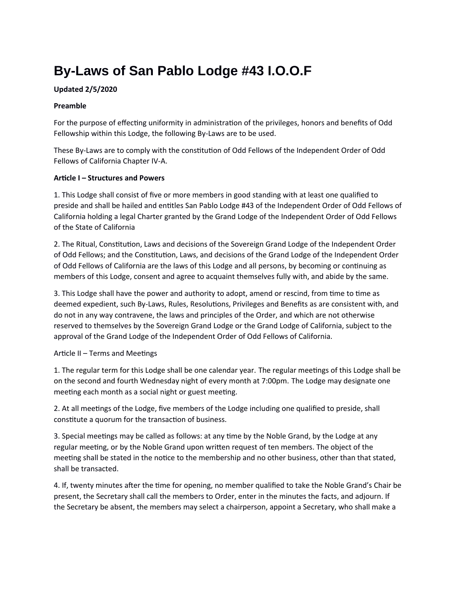# **By-Laws of San Pablo Lodge #43 I.O.O.F**

# **Updated 2/5/2020**

## **Preamble**

For the purpose of effecting uniformity in administration of the privileges, honors and benefits of Odd Fellowship within this Lodge, the following By-Laws are to be used.

These By-Laws are to comply with the constitution of Odd Fellows of the Independent Order of Odd Fellows of California Chapter IV-A.

## **Article I – Structures and Powers**

1. This Lodge shall consist of five or more members in good standing with at least one qualified to preside and shall be hailed and entitles San Pablo Lodge #43 of the Independent Order of Odd Fellows of California holding a legal Charter granted by the Grand Lodge of the Independent Order of Odd Fellows of the State of California

2. The Ritual, Constitution, Laws and decisions of the Sovereign Grand Lodge of the Independent Order of Odd Fellows; and the Constitution, Laws, and decisions of the Grand Lodge of the Independent Order of Odd Fellows of California are the laws of this Lodge and all persons, by becoming or continuing as members of this Lodge, consent and agree to acquaint themselves fully with, and abide by the same.

3. This Lodge shall have the power and authority to adopt, amend or rescind, from time to time as deemed expedient, such By-Laws, Rules, Resolutions, Privileges and Benefits as are consistent with, and do not in any way contravene, the laws and principles of the Order, and which are not otherwise reserved to themselves by the Sovereign Grand Lodge or the Grand Lodge of California, subject to the approval of the Grand Lodge of the Independent Order of Odd Fellows of California.

# Article II – Terms and Meetings

1. The regular term for this Lodge shall be one calendar year. The regular meetings of this Lodge shall be on the second and fourth Wednesday night of every month at 7:00pm. The Lodge may designate one meeting each month as a social night or guest meeting.

2. At all meetings of the Lodge, five members of the Lodge including one qualified to preside, shall constitute a quorum for the transaction of business.

3. Special meetings may be called as follows: at any time by the Noble Grand, by the Lodge at any regular meeting, or by the Noble Grand upon written request of ten members. The object of the meeting shall be stated in the notice to the membership and no other business, other than that stated, shall be transacted.

4. If, twenty minutes after the time for opening, no member qualified to take the Noble Grand's Chair be present, the Secretary shall call the members to Order, enter in the minutes the facts, and adjourn. If the Secretary be absent, the members may select a chairperson, appoint a Secretary, who shall make a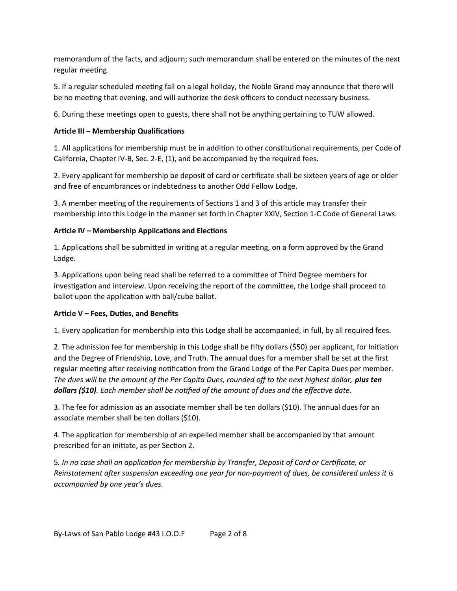memorandum of the facts, and adjourn; such memorandum shall be entered on the minutes of the next regular meeting.

5. If a regular scheduled meeting fall on a legal holiday, the Noble Grand may announce that there will be no meeting that evening, and will authorize the desk officers to conduct necessary business.

6. During these meetings open to guests, there shall not be anything pertaining to TUW allowed.

# **Article III – Membership Qualifications**

1. All applications for membership must be in addition to other constitutional requirements, per Code of California, Chapter IV-B, Sec. 2-E, (1), and be accompanied by the required fees.

2. Every applicant for membership be deposit of card or certificate shall be sixteen years of age or older and free of encumbrances or indebtedness to another Odd Fellow Lodge.

3. A member meeting of the requirements of Sections 1 and 3 of this article may transfer their membership into this Lodge in the manner set forth in Chapter XXIV, Section 1-C Code of General Laws.

# **Article IV – Membership Applications and Elections**

1. Applications shall be submitted in writing at a regular meeting, on a form approved by the Grand Lodge.

3. Applications upon being read shall be referred to a committee of Third Degree members for investigation and interview. Upon receiving the report of the committee, the Lodge shall proceed to ballot upon the application with ball/cube ballot.

# **Article V – Fees, Duties, and Benefits**

1. Every application for membership into this Lodge shall be accompanied, in full, by all required fees.

2. The admission fee for membership in this Lodge shall be fifty dollars (\$50) per applicant, for Initiation and the Degree of Friendship, Love, and Truth. The annual dues for a member shall be set at the first regular meeting after receiving notification from the Grand Lodge of the Per Capita Dues per member. *The dues will be the amount of the Per Capita Dues, rounded off to the next highest dollar, plus ten dollars (\$10). Each member shall be notified of the amount of dues and the effective date.*

3. The fee for admission as an associate member shall be ten dollars (\$10). The annual dues for an associate member shall be ten dollars (\$10).

4. The application for membership of an expelled member shall be accompanied by that amount prescribed for an initiate, as per Section 2.

5*. In no case shall an application for membership by Transfer, Deposit of Card or Certificate, or Reinstatement after suspension exceeding one year for non-payment of dues, be considered unless it is accompanied by one year's dues.*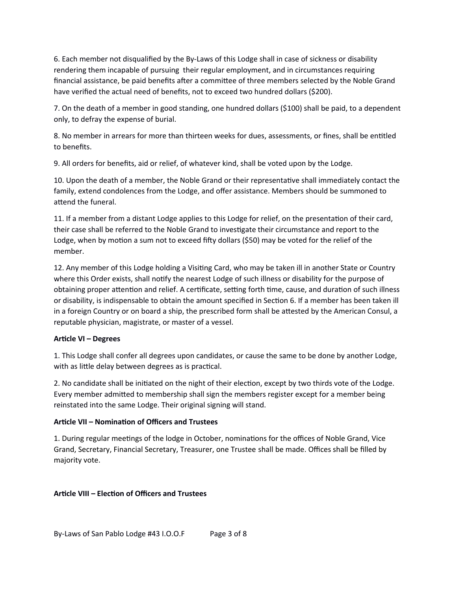6. Each member not disqualified by the By-Laws of this Lodge shall in case of sickness or disability rendering them incapable of pursuing their regular employment, and in circumstances requiring financial assistance, be paid benefits after a committee of three members selected by the Noble Grand have verified the actual need of benefits, not to exceed two hundred dollars (\$200).

7. On the death of a member in good standing, one hundred dollars (\$100) shall be paid, to a dependent only, to defray the expense of burial.

8. No member in arrears for more than thirteen weeks for dues, assessments, or fines, shall be entitled to benefits.

9. All orders for benefits, aid or relief, of whatever kind, shall be voted upon by the Lodge.

10. Upon the death of a member, the Noble Grand or their representative shall immediately contact the family, extend condolences from the Lodge, and offer assistance. Members should be summoned to attend the funeral.

11. If a member from a distant Lodge applies to this Lodge for relief, on the presentation of their card, their case shall be referred to the Noble Grand to investigate their circumstance and report to the Lodge, when by motion a sum not to exceed fifty dollars (\$50) may be voted for the relief of the member.

12. Any member of this Lodge holding a Visiting Card, who may be taken ill in another State or Country where this Order exists, shall notify the nearest Lodge of such illness or disability for the purpose of obtaining proper attention and relief. A certificate, setting forth time, cause, and duration of such illness or disability, is indispensable to obtain the amount specified in Section 6. If a member has been taken ill in a foreign Country or on board a ship, the prescribed form shall be attested by the American Consul, a reputable physician, magistrate, or master of a vessel.

#### **Article VI – Degrees**

1. This Lodge shall confer all degrees upon candidates, or cause the same to be done by another Lodge, with as little delay between degrees as is practical.

2. No candidate shall be initiated on the night of their election, except by two thirds vote of the Lodge. Every member admitted to membership shall sign the members register except for a member being reinstated into the same Lodge. Their original signing will stand.

#### **Article VII – Nomination of Officers and Trustees**

1. During regular meetings of the lodge in October, nominations for the offices of Noble Grand, Vice Grand, Secretary, Financial Secretary, Treasurer, one Trustee shall be made. Offices shall be filled by majority vote.

#### **Article VIII – Election of Officers and Trustees**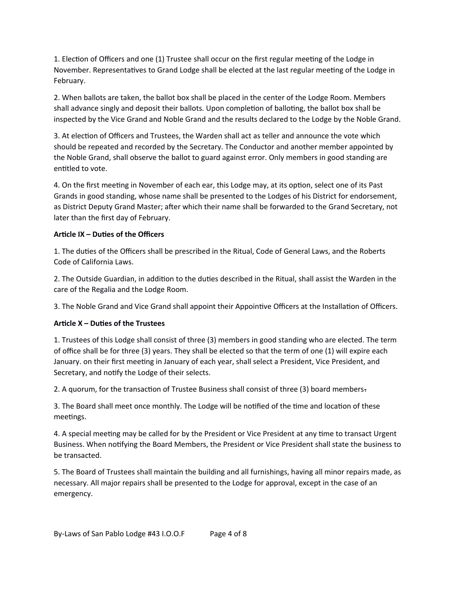1. Election of Officers and one (1) Trustee shall occur on the first regular meeting of the Lodge in November. Representatives to Grand Lodge shall be elected at the last regular meeting of the Lodge in February.

2. When ballots are taken, the ballot box shall be placed in the center of the Lodge Room. Members shall advance singly and deposit their ballots. Upon completion of balloting, the ballot box shall be inspected by the Vice Grand and Noble Grand and the results declared to the Lodge by the Noble Grand.

3. At election of Officers and Trustees, the Warden shall act as teller and announce the vote which should be repeated and recorded by the Secretary. The Conductor and another member appointed by the Noble Grand, shall observe the ballot to guard against error. Only members in good standing are entitled to vote.

4. On the first meeting in November of each ear, this Lodge may, at its option, select one of its Past Grands in good standing, whose name shall be presented to the Lodges of his District for endorsement, as District Deputy Grand Master; after which their name shall be forwarded to the Grand Secretary, not later than the first day of February.

## **Article IX – Duties of the Officers**

1. The duties of the Officers shall be prescribed in the Ritual, Code of General Laws, and the Roberts Code of California Laws.

2. The Outside Guardian, in addition to the duties described in the Ritual, shall assist the Warden in the care of the Regalia and the Lodge Room.

3. The Noble Grand and Vice Grand shall appoint their Appointive Officers at the Installation of Officers.

#### **Article X – Duties of the Trustees**

1. Trustees of this Lodge shall consist of three (3) members in good standing who are elected. The term of office shall be for three (3) years. They shall be elected so that the term of one (1) will expire each January. on their first meeting in January of each year, shall select a President, Vice President, and Secretary, and notify the Lodge of their selects.

2. A quorum, for the transaction of Trustee Business shall consist of three (3) board members.

3. The Board shall meet once monthly. The Lodge will be notified of the time and location of these meetings.

4. A special meeting may be called for by the President or Vice President at any time to transact Urgent Business. When notifying the Board Members, the President or Vice President shall state the business to be transacted.

5. The Board of Trustees shall maintain the building and all furnishings, having all minor repairs made, as necessary. All major repairs shall be presented to the Lodge for approval, except in the case of an emergency.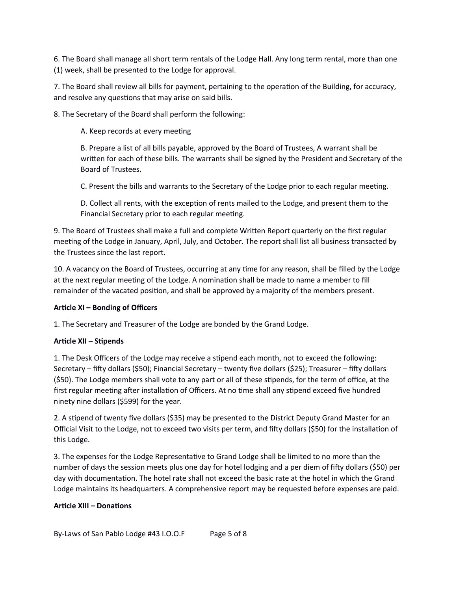6. The Board shall manage all short term rentals of the Lodge Hall. Any long term rental, more than one (1) week, shall be presented to the Lodge for approval.

7. The Board shall review all bills for payment, pertaining to the operation of the Building, for accuracy, and resolve any questions that may arise on said bills.

8. The Secretary of the Board shall perform the following:

A. Keep records at every meeting

B. Prepare a list of all bills payable, approved by the Board of Trustees, A warrant shall be written for each of these bills. The warrants shall be signed by the President and Secretary of the Board of Trustees.

C. Present the bills and warrants to the Secretary of the Lodge prior to each regular meeting.

D. Collect all rents, with the exception of rents mailed to the Lodge, and present them to the Financial Secretary prior to each regular meeting.

9. The Board of Trustees shall make a full and complete Written Report quarterly on the first regular meeting of the Lodge in January, April, July, and October. The report shall list all business transacted by the Trustees since the last report.

10. A vacancy on the Board of Trustees, occurring at any time for any reason, shall be filled by the Lodge at the next regular meeting of the Lodge. A nomination shall be made to name a member to fill remainder of the vacated position, and shall be approved by a majority of the members present.

#### **Article XI – Bonding of Officers**

1. The Secretary and Treasurer of the Lodge are bonded by the Grand Lodge.

# **Article XII – Stipends**

1. The Desk Officers of the Lodge may receive a stipend each month, not to exceed the following: Secretary – fifty dollars (\$50); Financial Secretary – twenty five dollars (\$25); Treasurer – fifty dollars (\$50). The Lodge members shall vote to any part or all of these stipends, for the term of office, at the first regular meeting after installation of Officers. At no time shall any stipend exceed five hundred ninety nine dollars (\$599) for the year.

2. A stipend of twenty five dollars (\$35) may be presented to the District Deputy Grand Master for an Official Visit to the Lodge, not to exceed two visits per term, and fifty dollars (\$50) for the installation of this Lodge.

3. The expenses for the Lodge Representative to Grand Lodge shall be limited to no more than the number of days the session meets plus one day for hotel lodging and a per diem of fifty dollars (\$50) per day with documentation. The hotel rate shall not exceed the basic rate at the hotel in which the Grand Lodge maintains its headquarters. A comprehensive report may be requested before expenses are paid.

#### **Article XIII – Donations**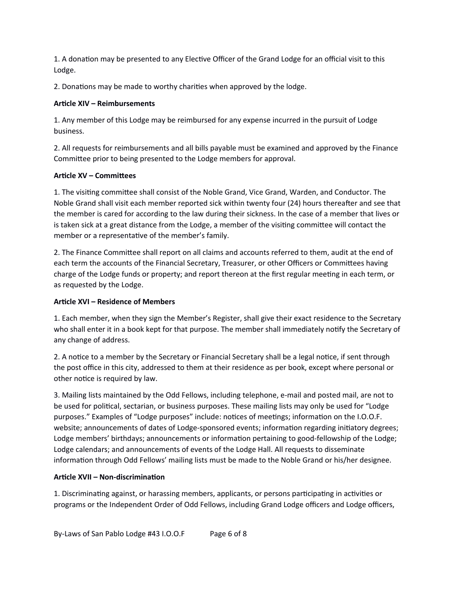1. A donation may be presented to any Elective Officer of the Grand Lodge for an official visit to this Lodge.

2. Donations may be made to worthy charities when approved by the lodge.

## **Article XIV – Reimbursements**

1. Any member of this Lodge may be reimbursed for any expense incurred in the pursuit of Lodge business.

2. All requests for reimbursements and all bills payable must be examined and approved by the Finance Committee prior to being presented to the Lodge members for approval.

## **Article XV – Committees**

1. The visiting committee shall consist of the Noble Grand, Vice Grand, Warden, and Conductor. The Noble Grand shall visit each member reported sick within twenty four (24) hours thereafter and see that the member is cared for according to the law during their sickness. In the case of a member that lives or is taken sick at a great distance from the Lodge, a member of the visiting committee will contact the member or a representative of the member's family.

2. The Finance Committee shall report on all claims and accounts referred to them, audit at the end of each term the accounts of the Financial Secretary, Treasurer, or other Officers or Committees having charge of the Lodge funds or property; and report thereon at the first regular meeting in each term, or as requested by the Lodge.

# **Article XVI – Residence of Members**

1. Each member, when they sign the Member's Register, shall give their exact residence to the Secretary who shall enter it in a book kept for that purpose. The member shall immediately notify the Secretary of any change of address.

2. A notice to a member by the Secretary or Financial Secretary shall be a legal notice, if sent through the post office in this city, addressed to them at their residence as per book, except where personal or other notice is required by law.

3. Mailing lists maintained by the Odd Fellows, including telephone, e-mail and posted mail, are not to be used for political, sectarian, or business purposes. These mailing lists may only be used for "Lodge purposes." Examples of "Lodge purposes" include: notices of meetings; information on the I.O.O.F. website; announcements of dates of Lodge-sponsored events; information regarding initiatory degrees; Lodge members' birthdays; announcements or information pertaining to good-fellowship of the Lodge; Lodge calendars; and announcements of events of the Lodge Hall. All requests to disseminate information through Odd Fellows' mailing lists must be made to the Noble Grand or his/her designee.

#### **Article XVII – Non-discrimination**

1. Discriminating against, or harassing members, applicants, or persons participating in activities or programs or the Independent Order of Odd Fellows, including Grand Lodge officers and Lodge officers,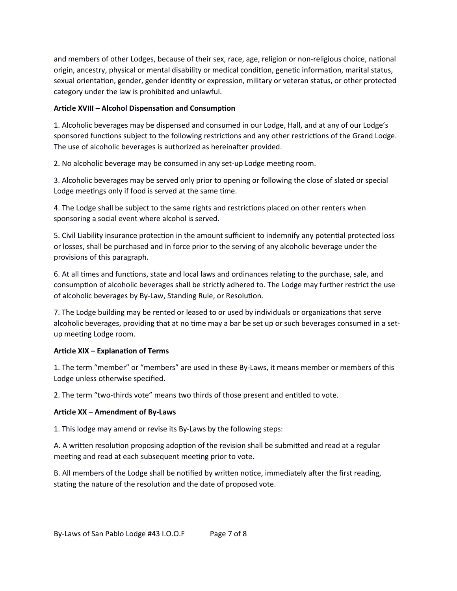and members of other Lodges, because of their sex, race, age, religion or non-religious choice, national origin, ancestry, physical or mental disability or medical condition, genetic information, marital status, sexual orientation, gender, gender identity or expression, military or veteran status, or other protected category under the law is prohibited and unlawful.

## **Article XVIII – Alcohol Dispensation and Consumption**

1. Alcoholic beverages may be dispensed and consumed in our Lodge, Hall, and at any of our Lodge's sponsored functions subject to the following restrictions and any other restrictions of the Grand Lodge. The use of alcoholic beverages is authorized as hereinafter provided.

2. No alcoholic beverage may be consumed in any set-up Lodge meeting room.

3. Alcoholic beverages may be served only prior to opening or following the close of slated or special Lodge meetings only if food is served at the same time.

4. The Lodge shall be subject to the same rights and restrictions placed on other renters when sponsoring a social event where alcohol is served.

5. Civil Liability insurance protection in the amount sufficient to indemnify any potential protected loss or losses, shall be purchased and in force prior to the serving of any alcoholic beverage under the provisions of this paragraph.

6. At all times and functions, state and local laws and ordinances relating to the purchase, sale, and consumption of alcoholic beverages shall be strictly adhered to. The Lodge may further restrict the use of alcoholic beverages by By-Law, Standing Rule, or Resolution.

7. The Lodge building may be rented or leased to or used by individuals or organizations that serve alcoholic beverages, providing that at no time may a bar be set up or such beverages consumed in a setup meeting Lodge room.

# **Article XIX – Explanation of Terms**

1. The term "member" or "members" are used in these By-Laws, it means member or members of this Lodge unless otherwise specified.

2. The term "two-thirds vote" means two thirds of those present and entitled to vote.

#### **Article XX – Amendment of By-Laws**

1. This lodge may amend or revise its By-Laws by the following steps:

A. A written resolution proposing adoption of the revision shall be submitted and read at a regular meeting and read at each subsequent meeting prior to vote.

B. All members of the Lodge shall be notified by written notice, immediately after the first reading, stating the nature of the resolution and the date of proposed vote.